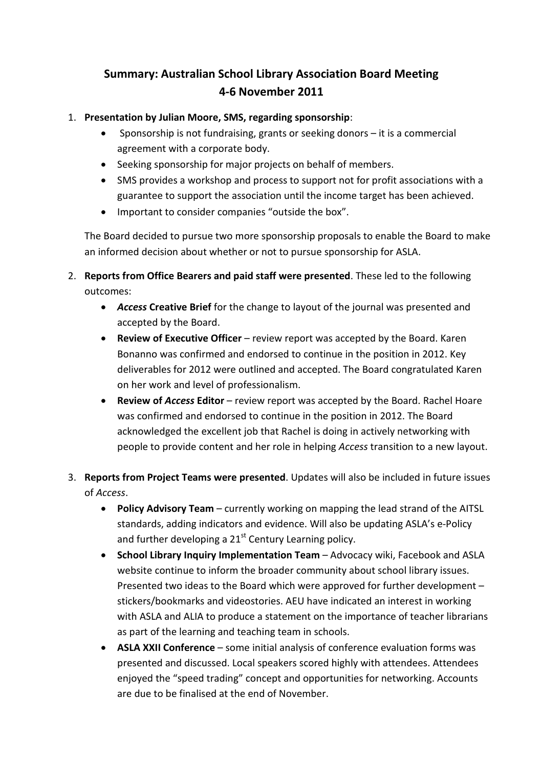## **Summary: Australian School Library Association Board Meeting 4-6 November 2011**

- 1. **Presentation by Julian Moore, SMS, regarding sponsorship**:
	- Sponsorship is not fundraising, grants or seeking donors it is a commercial agreement with a corporate body.
	- Seeking sponsorship for major projects on behalf of members.
	- SMS provides a workshop and process to support not for profit associations with a guarantee to support the association until the income target has been achieved.
	- Important to consider companies "outside the box".

The Board decided to pursue two more sponsorship proposals to enable the Board to make an informed decision about whether or not to pursue sponsorship for ASLA.

- 2. **Reports from Office Bearers and paid staff were presented**. These led to the following outcomes:
	- *Access* **Creative Brief** for the change to layout of the journal was presented and accepted by the Board.
	- **Review of Executive Officer** review report was accepted by the Board. Karen Bonanno was confirmed and endorsed to continue in the position in 2012. Key deliverables for 2012 were outlined and accepted. The Board congratulated Karen on her work and level of professionalism.
	- **Review of** *Access* **Editor** review report was accepted by the Board. Rachel Hoare was confirmed and endorsed to continue in the position in 2012. The Board acknowledged the excellent job that Rachel is doing in actively networking with people to provide content and her role in helping *Access* transition to a new layout.
- 3. **Reports from Project Teams were presented**. Updates will also be included in future issues of *Access*.
	- **Policy Advisory Team** currently working on mapping the lead strand of the AITSL standards, adding indicators and evidence. Will also be updating ASLA's e-Policy and further developing a  $21<sup>st</sup>$  Century Learning policy.
	- **School Library Inquiry Implementation Team** Advocacy wiki, Facebook and ASLA website continue to inform the broader community about school library issues. Presented two ideas to the Board which were approved for further development – stickers/bookmarks and videostories. AEU have indicated an interest in working with ASLA and ALIA to produce a statement on the importance of teacher librarians as part of the learning and teaching team in schools.
	- **ASLA XXII Conference** some initial analysis of conference evaluation forms was presented and discussed. Local speakers scored highly with attendees. Attendees enjoyed the "speed trading" concept and opportunities for networking. Accounts are due to be finalised at the end of November.